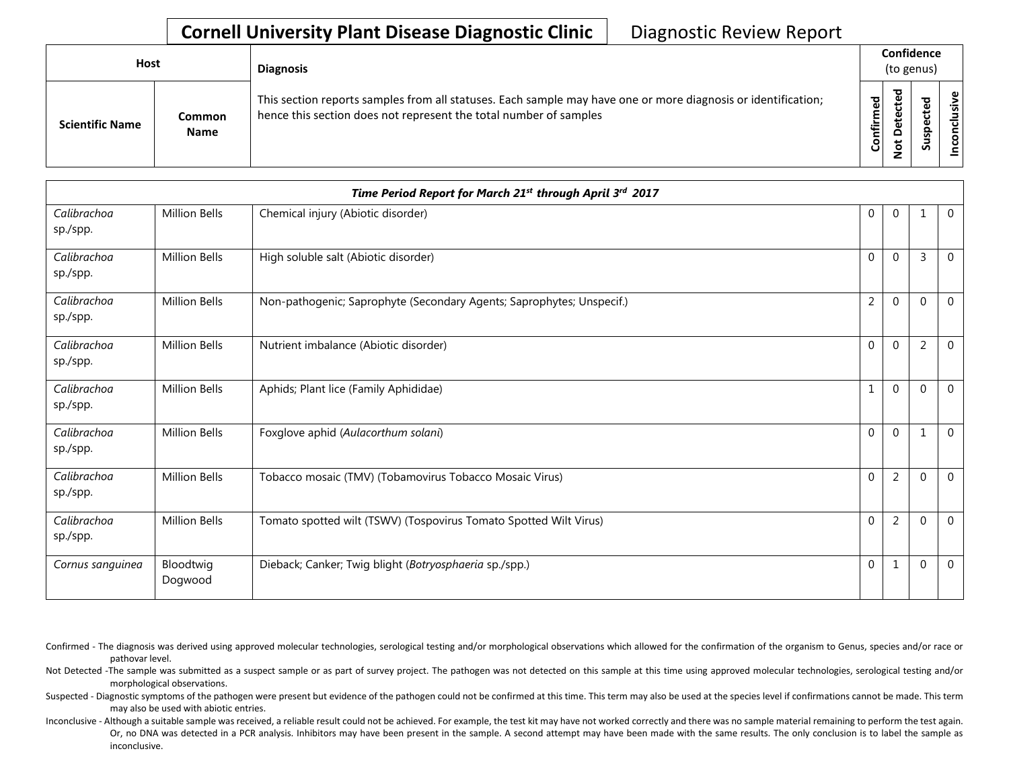## **Cornell University Plant Disease Diagnostic Clinic** | Diagnostic Review Report

| Host |                        |                              | <b>Diagnosis</b>                                                                                                                                                                   |                   |                    | Confidence<br>(to genus) |       |
|------|------------------------|------------------------------|------------------------------------------------------------------------------------------------------------------------------------------------------------------------------------|-------------------|--------------------|--------------------------|-------|
|      | <b>Scientific Name</b> | <b>Common</b><br><b>Name</b> | This section reports samples from all statuses. Each sample may have one or more diagnosis or identification;<br>hence this section does not represent the total number of samples | ъ<br>Ō<br>Confirm | ъ<br>$\Omega$<br>z | ъ<br>ீ<br>ω<br>௨<br>Sus  | usive |

|                         |                      | Time Period Report for March 21st through April 3rd 2017              |                |                |                |                |
|-------------------------|----------------------|-----------------------------------------------------------------------|----------------|----------------|----------------|----------------|
| Calibrachoa<br>sp./spp. | <b>Million Bells</b> | Chemical injury (Abiotic disorder)                                    | $\mathbf{0}$   | $\mathbf{0}$   |                | $\overline{0}$ |
| Calibrachoa<br>sp./spp. | <b>Million Bells</b> | High soluble salt (Abiotic disorder)                                  | $\Omega$       | $\mathbf{0}$   | $\overline{3}$ | $\Omega$       |
| Calibrachoa<br>sp./spp. | <b>Million Bells</b> | Non-pathogenic; Saprophyte (Secondary Agents; Saprophytes; Unspecif.) | $\overline{2}$ | $\Omega$       | $\Omega$       | $\overline{0}$ |
| Calibrachoa<br>sp./spp. | <b>Million Bells</b> | Nutrient imbalance (Abiotic disorder)                                 | $\Omega$       | $\Omega$       | $\overline{2}$ | $\overline{0}$ |
| Calibrachoa<br>sp./spp. | <b>Million Bells</b> | Aphids; Plant lice (Family Aphididae)                                 | 1              | $\mathbf{0}$   | $\Omega$       | $\mathbf{0}$   |
| Calibrachoa<br>sp./spp. | <b>Million Bells</b> | Foxglove aphid (Aulacorthum solani)                                   | $\Omega$       | $\Omega$       |                | $\Omega$       |
| Calibrachoa<br>sp./spp. | <b>Million Bells</b> | Tobacco mosaic (TMV) (Tobamovirus Tobacco Mosaic Virus)               | $\mathbf 0$    | $\overline{2}$ | $\Omega$       | $\mathbf 0$    |
| Calibrachoa<br>sp./spp. | <b>Million Bells</b> | Tomato spotted wilt (TSWV) (Tospovirus Tomato Spotted Wilt Virus)     | $\mathbf 0$    | 2              | $\Omega$       | $\overline{0}$ |
| Cornus sanguinea        | Bloodtwig<br>Dogwood | Dieback; Canker; Twig blight (Botryosphaeria sp./spp.)                | $\mathbf{0}$   | 1              | $\Omega$       | $\overline{0}$ |

Confirmed - The diagnosis was derived using approved molecular technologies, serological testing and/or morphological observations which allowed for the confirmation of the organism to Genus, species and/or race or pathovar level.

Not Detected -The sample was submitted as a suspect sample or as part of survey project. The pathogen was not detected on this sample at this time using approved molecular technologies, serological testing and/or morphological observations.

Suspected - Diagnostic symptoms of the pathogen were present but evidence of the pathogen could not be confirmed at this time. This term may also be used at the species level if confirmations cannot be made. This term may also be used with abiotic entries.

Inconclusive - Although a suitable sample was received, a reliable result could not be achieved. For example, the test kit may have not worked correctly and there was no sample material remaining to perform the test again. Or, no DNA was detected in a PCR analysis. Inhibitors may have been present in the sample. A second attempt may have been made with the same results. The only conclusion is to label the sample as inconclusive.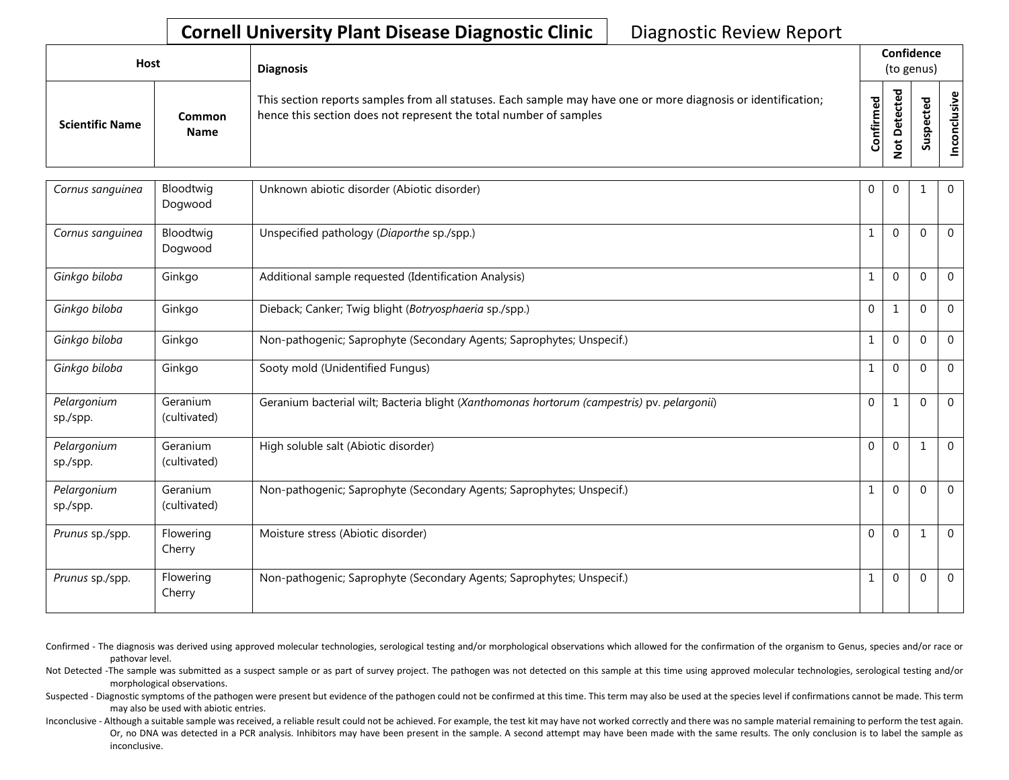## **Cornell University Plant Disease Diagnostic Clinic** | Diagnostic Review Report

| Host                   |                       | <b>Diagnosis</b>                                                                                                                                                                   |                   | Confidence<br>(to genus) |                            |                                     |
|------------------------|-----------------------|------------------------------------------------------------------------------------------------------------------------------------------------------------------------------------|-------------------|--------------------------|----------------------------|-------------------------------------|
| <b>Scientific Name</b> | Common<br><b>Name</b> | This section reports samples from all statuses. Each sample may have one or more diagnosis or identification;<br>hence this section does not represent the total number of samples | ъ<br>ω<br>Confirm | ᇃ<br>$\Omega$<br>۰       | ω<br>o<br>으<br>s<br>ـ<br>n | $\omega$<br>$\overline{\mathbf{S}}$ |

| Cornus sanguinea        | Bloodtwig<br>Dogwood     | Unknown abiotic disorder (Abiotic disorder)                                                 | 0              | 0           | 1           | $\overline{0}$ |
|-------------------------|--------------------------|---------------------------------------------------------------------------------------------|----------------|-------------|-------------|----------------|
| Cornus sanguinea        | Bloodtwig<br>Dogwood     | Unspecified pathology (Diaporthe sp./spp.)                                                  | 1              | $\Omega$    | $\Omega$    | $\mathbf 0$    |
| Ginkgo biloba           | Ginkgo                   | Additional sample requested (Identification Analysis)                                       | $\mathbf{1}$   | $\Omega$    | $\Omega$    | $\overline{0}$ |
| Ginkgo biloba           | Ginkgo                   | Dieback; Canker; Twig blight (Botryosphaeria sp./spp.)                                      | $\Omega$       | 1           | $\Omega$    | $\Omega$       |
| Ginkgo biloba           | Ginkgo                   | Non-pathogenic; Saprophyte (Secondary Agents; Saprophytes; Unspecif.)                       | 1              | $\Omega$    | $\mathbf 0$ | $\mathbf{0}$   |
| Ginkgo biloba           | Ginkgo                   | Sooty mold (Unidentified Fungus)                                                            | 1              | $\Omega$    | $\Omega$    | $\Omega$       |
| Pelargonium<br>sp./spp. | Geranium<br>(cultivated) | Geranium bacterial wilt; Bacteria blight (Xanthomonas hortorum (campestris) pv. pelargonii) | $\Omega$       | 1           | $\Omega$    | $\Omega$       |
| Pelargonium<br>sp./spp. | Geranium<br>(cultivated) | High soluble salt (Abiotic disorder)                                                        | $\Omega$       | $\Omega$    | 1           | $\Omega$       |
| Pelargonium<br>sp./spp. | Geranium<br>(cultivated) | Non-pathogenic; Saprophyte (Secondary Agents; Saprophytes; Unspecif.)                       | 1              | $\mathbf 0$ | $\Omega$    | $\overline{0}$ |
| Prunus sp./spp.         | Flowering<br>Cherry      | Moisture stress (Abiotic disorder)                                                          | $\overline{0}$ | $\Omega$    | 1           | $\overline{0}$ |
| Prunus sp./spp.         | Flowering<br>Cherry      | Non-pathogenic; Saprophyte (Secondary Agents; Saprophytes; Unspecif.)                       | 1              | $\mathbf 0$ | $\Omega$    | $\mathbf{0}$   |

Confirmed - The diagnosis was derived using approved molecular technologies, serological testing and/or morphological observations which allowed for the confirmation of the organism to Genus, species and/or race or pathovar level.

Not Detected -The sample was submitted as a suspect sample or as part of survey project. The pathogen was not detected on this sample at this time using approved molecular technologies, serological testing and/or morphological observations.

Suspected - Diagnostic symptoms of the pathogen were present but evidence of the pathogen could not be confirmed at this time. This term may also be used at the species level if confirmations cannot be made. This term may also be used with abiotic entries.

Inconclusive - Although a suitable sample was received, a reliable result could not be achieved. For example, the test kit may have not worked correctly and there was no sample material remaining to perform the test again. Or, no DNA was detected in a PCR analysis. Inhibitors may have been present in the sample. A second attempt may have been made with the same results. The only conclusion is to label the sample as inconclusive.